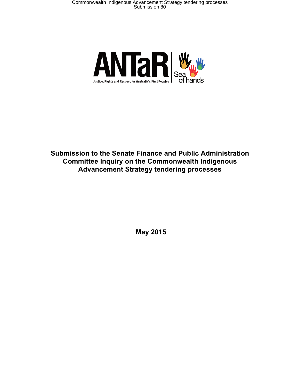

**Submission to the Senate Finance and Public Administration Committee Inquiry on the Commonwealth Indigenous Advancement Strategy tendering processes**

**May 2015**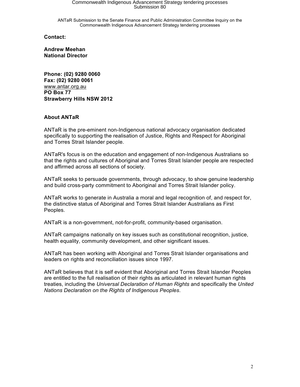ANTaR Submission to the Senate Finance and Public Administration Committee Inquiry on the Commonwealth Indigenous Advancement Strategy tendering processes

**Contact:**

**Andrew Meehan National Director** 

**Phone: (02) 9280 0060 Fax: (02) 9280 0061** www.antar.org.au **PO Box 77 Strawberry Hills NSW 2012**

#### **About ANTaR**

ANTaR is the pre-eminent non-Indigenous national advocacy organisation dedicated specifically to supporting the realisation of Justice, Rights and Respect for Aboriginal and Torres Strait Islander people.

ANTaR's focus is on the education and engagement of non-Indigenous Australians so that the rights and cultures of Aboriginal and Torres Strait Islander people are respected and affirmed across all sections of society.

ANTaR seeks to persuade governments, through advocacy, to show genuine leadership and build cross-party commitment to Aboriginal and Torres Strait Islander policy.

ANTaR works to generate in Australia a moral and legal recognition of, and respect for, the distinctive status of Aboriginal and Torres Strait Islander Australians as First Peoples.

ANTaR is a non-government, not-for-profit, community-based organisation.

ANTaR campaigns nationally on key issues such as constitutional recognition, justice, health equality, community development, and other significant issues.

ANTaR has been working with Aboriginal and Torres Strait Islander organisations and leaders on rights and reconciliation issues since 1997.

ANTaR believes that it is self evident that Aboriginal and Torres Strait Islander Peoples are entitled to the full realisation of their rights as articulated in relevant human rights treaties, including the *Universal Declaration of Human Rights* and specifically the *United Nations Declaration on the Rights of Indigenous Peoples*.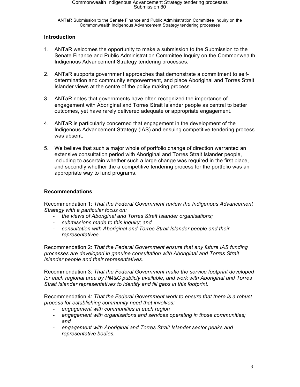ANTaR Submission to the Senate Finance and Public Administration Committee Inquiry on the Commonwealth Indigenous Advancement Strategy tendering processes

### **Introduction**

- 1. ANTaR welcomes the opportunity to make a submission to the Submission to the Senate Finance and Public Administration Committee Inquiry on the Commonwealth Indigenous Advancement Strategy tendering processes.
- 2. ANTaR supports government approaches that demonstrate a commitment to selfdetermination and community empowerment, and place Aboriginal and Torres Strait Islander views at the centre of the policy making process.
- 3. ANTaR notes that governments have often recognized the importance of engagement with Aboriginal and Torres Strait Islander people as central to better outcomes, yet have rarely delivered adequate or appropriate engagement.
- 4. ANTaR is particularly concerned that engagement in the development of the Indigenous Advancement Strategy (IAS) and ensuing competitive tendering process was absent.
- 5. We believe that such a major whole of portfolio change of direction warranted an extensive consultation period with Aboriginal and Torres Strait Islander people, including to ascertain whether such a large change was required in the first place, and secondly whether the a competitive tendering process for the portfolio was an appropriate way to fund programs.

### **Recommendations**

Recommendation 1: *That the Federal Government review the Indigenous Advancement Strategy with a particular focus on:*

- the views of Aboriginal and Torres Strait Islander organisations;
- *submissions made to this inquiry; and*
- *consultation with Aboriginal and Torres Strait Islander people and their representatives.*

Recommendation 2: *That the Federal Government ensure that any future IAS funding processes are developed in genuine consultation with Aboriginal and Torres Strait Islander people and their representatives.* 

Recommendation 3: *That the Federal Government make the service footprint developed for each regional area by PM&C publicly available, and work with Aboriginal and Torres Strait Islander representatives to identify and fill gaps in this footprint.* 

Recommendation 4: *That the Federal Government work to ensure that there is a robust process for establishing community need that involves:* 

- *engagement with communities in each region*
- *engagement with organisations and services operating in those communities; and*
- *engagement with Aboriginal and Torres Strait Islander sector peaks and representative bodies.*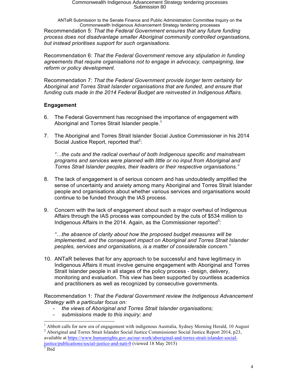ANTaR Submission to the Senate Finance and Public Administration Committee Inquiry on the Commonwealth Indigenous Advancement Strategy tendering processes Recommendation 5: *That the Federal Government ensures that any future funding process does not disadvantage smaller Aboriginal community controlled organisations, but instead prioritises support for such organisations.*

Recommendation 6: *That the Federal Government remove any stipulation in funding agreements that require organisations not to engage in advocacy, campaigning, law reform or policy development.* 

Recommendation 7: *That the Federal Government provide longer term certainty for Aboriginal and Torres Strait Islander organisations that are funded, and ensure that funding cuts made in the 2014 Federal Budget are reinvested in Indigenous Affairs.* 

### **Engagement**

- 6. The Federal Government has recognised the importance of engagement with Aboriginal and Torres Strait Islander people.<sup>1</sup>
- 7. The Aboriginal and Torres Strait Islander Social Justice Commissioner in his 2014 Social Justice Report, reported that<sup>2</sup>:

*"…the cuts and the radical overhaul of both Indigenous specific and mainstream programs and services were planned with little or no input from Aboriginal and Torres Strait Islander peoples, their leaders or their respective organisations."*

- 8. The lack of engagement is of serious concern and has undoubtedly amplified the sense of uncertainty and anxiety among many Aboriginal and Torres Strait Islander people and organisations about whether various services and organisations would continue to be funded through the IAS process.
- 9. Concern with the lack of engagement about such a major overhaul of Indigenous Affairs through the IAS process was compounded by the cuts of \$534 million to Indigenous Affairs in the 2014. Again, as the Commissioner reported<sup>3</sup>:

*"…the absence of clarity about how the proposed budget measures will be implemented, and the consequent impact on Aboriginal and Torres Strait Islander peoples, services and organisations, is a matter of considerable concern."*

10. ANTaR believes that for any approach to be successful and have legitimacy in Indigenous Affairs it must involve genuine engagement with Aboriginal and Torres Strait Islander people in all stages of the policy process - design, delivery, monitoring and evaluation. This view has been supported by countless academics and practitioners as well as recognized by consecutive governments.

Recommendation 1: *That the Federal Government review the Indigenous Advancement Strategy with a particular focus on:*

- *the views of Aboriginal and Torres Strait Islander organisations;*
- *submissions made to this inquiry; and*

<sup>&</sup>lt;sup>1</sup> Abbott calls for new era of engagement with indigenous Australia, Sydney Morning Herald, 10 August <sup>2</sup> Aboriginal and Torres Strait Islander Social Justice Commissioner Social Justice Report 2014, p23, available at https://www.humanrights.gov.au/our-work/aboriginal-and-torres-strait-islander-socialjustice/publications/social-justice-and-nati-0 (viewed 18 May 2015)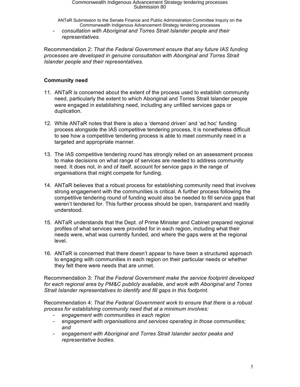ANTaR Submission to the Senate Finance and Public Administration Committee Inquiry on the Commonwealth Indigenous Advancement Strategy tendering processes

- *consultation with Aboriginal and Torres Strait Islander people and their representatives.* 

Recommendation 2: *That the Federal Government ensure that any future IAS funding processes are developed in genuine consultation with Aboriginal and Torres Strait Islander people and their representatives.* 

### **Community need**

- 11. ANTaR is concerned about the extent of the process used to establish community need, particularly the extent to which Aboriginal and Torres Strait Islander people were engaged in establishing need, including any unfilled services gaps or duplication.
- 12. While ANTaR notes that there is also a 'demand driven' and 'ad hoc' funding process alongside the IAS competitive tendering process, it is nonetheless difficult to see how a competitive tendering process is able to meet community need in a targeted and appropriate manner.
- 13. The IAS competitive tendering round has strongly relied on an assessment process to make decisions on what range of services are needed to address community need. It does not, in and of itself, account for service gaps in the range of organisations that might compete for funding.
- 14. ANTaR believes that a robust process for establishing community need that involves strong engagement with the communities is critical. A further process following the competitive tendering round of funding would also be needed to fill service gaps that weren't tendered for. This further process should be open, transparent and readily understood.
- 15. ANTaR understands that the Dept. of Prime Minister and Cabinet prepared regional profiles of what services were provided for in each region, including what their needs were, what was currently funded, and where the gaps were at the regional level.
- 16. ANTaR is concerned that there doesn't appear to have been a structured approach to engaging with communities in each region on their particular needs or whether they felt there were needs that are unmet.

Recommendation 3: *That the Federal Government make the service footprint developed for each regional area by PM&C publicly available, and work with Aboriginal and Torres Strait Islander representatives to identify and fill gaps in this footprint.* 

Recommendation 4: *That the Federal Government work to ensure that there is a robust process for establishing community need that at a minimum involves:* 

- *engagement with communities in each region*
- *engagement with organisations and services operating in those communities; and*
- *engagement with Aboriginal and Torres Strait Islander sector peaks and representative bodies.*